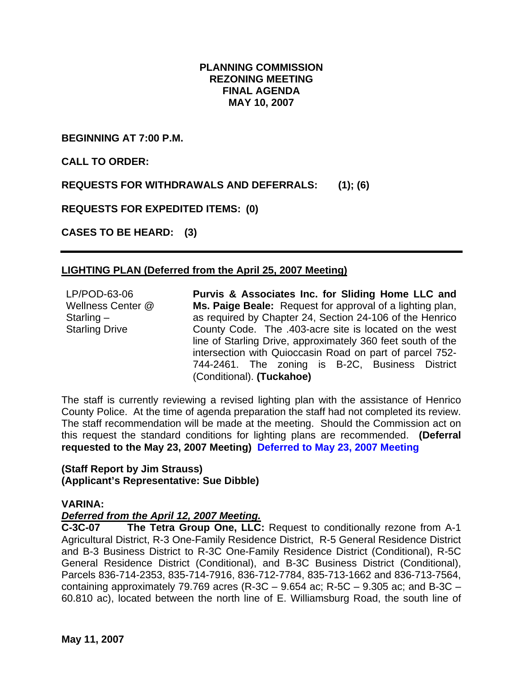## **PLANNING COMMISSION REZONING MEETING FINAL AGENDA MAY 10, 2007**

**BEGINNING AT 7:00 P.M.** 

**CALL TO ORDER:** 

**REQUESTS FOR WITHDRAWALS AND DEFERRALS: (1); (6)** 

**REQUESTS FOR EXPEDITED ITEMS: (0)** 

**CASES TO BE HEARD: (3)** 

# **LIGHTING PLAN (Deferred from the April 25, 2007 Meeting)**

LP/POD-63-06 Wellness Center @ Starling – Starling Drive **Purvis & Associates Inc. for Sliding Home LLC and Ms. Paige Beale:** Request for approval of a lighting plan, as required by Chapter 24, Section 24-106 of the Henrico County Code. The .403-acre site is located on the west line of Starling Drive, approximately 360 feet south of the intersection with Quioccasin Road on part of parcel 752- 744-2461. The zoning is B-2C, Business District (Conditional). **(Tuckahoe)**

The staff is currently reviewing a revised lighting plan with the assistance of Henrico County Police. At the time of agenda preparation the staff had not completed its review. The staff recommendation will be made at the meeting. Should the Commission act on this request the standard conditions for lighting plans are recommended. **(Deferral requested to the May 23, 2007 Meeting) Deferred to May 23, 2007 Meeting** 

#### **(Staff Report by Jim Strauss) (Applicant's Representative: Sue Dibble)**

## **VARINA:**

## *Deferred from the April 12, 2007 Meeting.*

**C-3C-07 The Tetra Group One, LLC:** Request to conditionally rezone from A-1 Agricultural District, R-3 One-Family Residence District, R-5 General Residence District and B-3 Business District to R-3C One-Family Residence District (Conditional), R-5C General Residence District (Conditional), and B-3C Business District (Conditional), Parcels 836-714-2353, 835-714-7916, 836-712-7784, 835-713-1662 and 836-713-7564, containing approximately 79.769 acres (R-3C – 9.654 ac; R-5C – 9.305 ac; and B-3C – 60.810 ac), located between the north line of E. Williamsburg Road, the south line of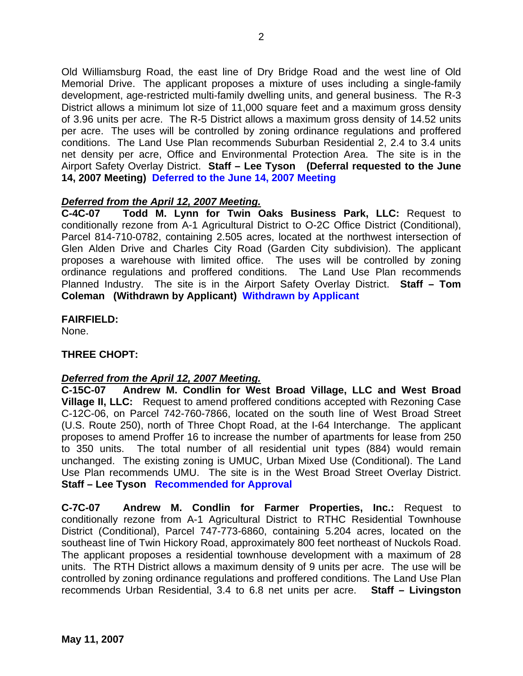Old Williamsburg Road, the east line of Dry Bridge Road and the west line of Old Memorial Drive. The applicant proposes a mixture of uses including a single-family development, age-restricted multi-family dwelling units, and general business. The R-3 District allows a minimum lot size of 11,000 square feet and a maximum gross density of 3.96 units per acre. The R-5 District allows a maximum gross density of 14.52 units per acre. The uses will be controlled by zoning ordinance regulations and proffered conditions. The Land Use Plan recommends Suburban Residential 2, 2.4 to 3.4 units net density per acre, Office and Environmental Protection Area. The site is in the Airport Safety Overlay District. **Staff – Lee Tyson (Deferral requested to the June 14, 2007 Meeting) Deferred to the June 14, 2007 Meeting**

## *Deferred from the April 12, 2007 Meeting.*

**C-4C-07 Todd M. Lynn for Twin Oaks Business Park, LLC:** Request to conditionally rezone from A-1 Agricultural District to O-2C Office District (Conditional), Parcel 814-710-0782, containing 2.505 acres, located at the northwest intersection of Glen Alden Drive and Charles City Road (Garden City subdivision). The applicant proposes a warehouse with limited office. The uses will be controlled by zoning ordinance regulations and proffered conditions. The Land Use Plan recommends Planned Industry. The site is in the Airport Safety Overlay District. **Staff – Tom Coleman (Withdrawn by Applicant) Withdrawn by Applicant** 

## **FAIRFIELD:**

None.

## **THREE CHOPT:**

## *Deferred from the April 12, 2007 Meeting.*

**C-15C-07 Andrew M. Condlin for West Broad Village, LLC and West Broad Village II, LLC:** Request to amend proffered conditions accepted with Rezoning Case C-12C-06, on Parcel 742-760-7866, located on the south line of West Broad Street (U.S. Route 250), north of Three Chopt Road, at the I-64 Interchange. The applicant proposes to amend Proffer 16 to increase the number of apartments for lease from 250 to 350 units. The total number of all residential unit types (884) would remain unchanged. The existing zoning is UMUC, Urban Mixed Use (Conditional). The Land Use Plan recommends UMU. The site is in the West Broad Street Overlay District. **Staff – Lee Tyson Recommended for Approval**

**C-7C-07 Andrew M. Condlin for Farmer Properties, Inc.:** Request to conditionally rezone from A-1 Agricultural District to RTHC Residential Townhouse District (Conditional), Parcel 747-773-6860, containing 5.204 acres, located on the southeast line of Twin Hickory Road, approximately 800 feet northeast of Nuckols Road. The applicant proposes a residential townhouse development with a maximum of 28 units. The RTH District allows a maximum density of 9 units per acre. The use will be controlled by zoning ordinance regulations and proffered conditions. The Land Use Plan recommends Urban Residential, 3.4 to 6.8 net units per acre. **Staff – Livingston**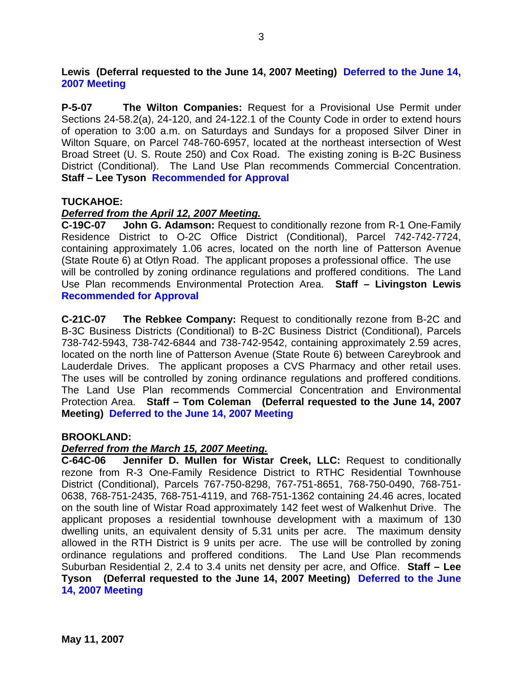**Lewis (Deferral requested to the June 14, 2007 Meeting) Deferred to the June 14, 2007 Meeting** 

**P-5-07 The Wilton Companies:** Request for a Provisional Use Permit under Sections 24-58.2(a), 24-120, and 24-122.1 of the County Code in order to extend hours of operation to 3:00 a.m. on Saturdays and Sundays for a proposed Silver Diner in Wilton Square, on Parcel 748-760-6957, located at the northeast intersection of West Broad Street (U. S. Route 250) and Cox Road. The existing zoning is B-2C Business District (Conditional). The Land Use Plan recommends Commercial Concentration. **Staff – Lee Tyson Recommended for Approval**

#### **TUCKAHOE:**

#### *Deferred from the April 12, 2007 Meeting.*

**C-19C-07 John G. Adamson:** Request to conditionally rezone from R-1 One-Family Residence District to O-2C Office District (Conditional), Parcel 742-742-7724, containing approximately 1.06 acres, located on the north line of Patterson Avenue (State Route 6) at Otlyn Road. The applicant proposes a professional office. The use will be controlled by zoning ordinance regulations and proffered conditions. The Land Use Plan recommends Environmental Protection Area. **Staff – Livingston Lewis Recommended for Approval** 

**C-21C-07 The Rebkee Company:** Request to conditionally rezone from B-2C and B-3C Business Districts (Conditional) to B-2C Business District (Conditional), Parcels 738-742-5943, 738-742-6844 and 738-742-9542, containing approximately 2.59 acres, located on the north line of Patterson Avenue (State Route 6) between Careybrook and Lauderdale Drives. The applicant proposes a CVS Pharmacy and other retail uses. The uses will be controlled by zoning ordinance regulations and proffered conditions. The Land Use Plan recommends Commercial Concentration and Environmental Protection Area. **Staff – Tom Coleman (Deferral requested to the June 14, 2007 Meeting) Deferred to the June 14, 2007 Meeting** 

#### **BROOKLAND:**

#### *Deferred from the March 15, 2007 Meeting.*

**C-64C-06 Jennifer D. Mullen for Wistar Creek, LLC:** Request to conditionally rezone from R-3 One-Family Residence District to RTHC Residential Townhouse District (Conditional), Parcels 767-750-8298, 767-751-8651, 768-750-0490, 768-751- 0638, 768-751-2435, 768-751-4119, and 768-751-1362 containing 24.46 acres, located on the south line of Wistar Road approximately 142 feet west of Walkenhut Drive. The applicant proposes a residential townhouse development with a maximum of 130 dwelling units, an equivalent density of 5.31 units per acre. The maximum density allowed in the RTH District is 9 units per acre. The use will be controlled by zoning ordinance regulations and proffered conditions. The Land Use Plan recommends Suburban Residential 2, 2.4 to 3.4 units net density per acre, and Office. **Staff – Lee Tyson (Deferral requested to the June 14, 2007 Meeting) Deferred to the June 14, 2007 Meeting**